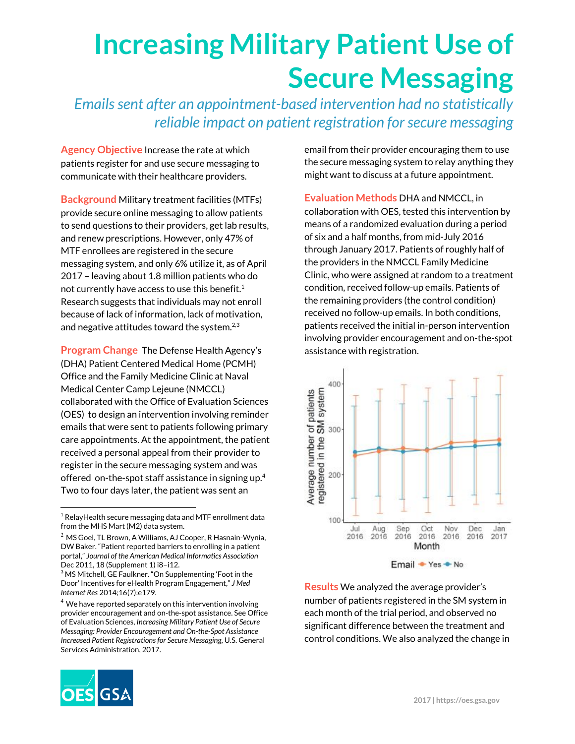## **Increasing Military Patient Use of Secure Messaging**

*Emailssent after an appointment-based intervention had no statistically reliable impact on patient registration forsecure messaging*

**Agency Objective** Increase the rate at which patients register for and use secure messaging to communicate with their healthcare providers.

**Background** Military treatment facilities (MTFs) provide secure online messaging to allow patients to send questions to their providers, get lab results, and renew prescriptions. However, only 47% of MTF enrollees are registered in the secure messaging system, and only 6% utilize it, as of April 2017 – leaving about 1.8 million patients who do not currently have access to use this benefit. $<sup>1</sup>$ </sup> Research suggests that individuals may not enroll because of lack of information, lack of motivation, and negative attitudes toward the system. $^{2,3}$ 

**Program Change** The Defense Health Agency's (DHA) Patient Centered Medical Home (PCMH) Office and the Family Medicine Clinic at Naval Medical Center Camp Lejeune (NMCCL) collaborated with the Office of Evaluation Sciences (OES) to design an intervention involving reminder emails that were sent to patients following primary care appointments. At the appointment, the patient received a personal appeal from their provider to register in the secure messaging system and was offered on-the-spot staff assistance in signing up. 4 Two to four days later, the patient was sent an

email from their provider encouraging them to use the secure messaging system to relay anything they might want to discuss at a future appointment.

**Evaluation Methods** DHA and NMCCL, in collaboration with OES, tested this intervention by means of a randomized evaluation during a period of six and a half months, from mid-July 2016 through January 2017. Patients of roughly half of the providers in the NMCCL Family Medicine Clinic, who were assigned at random to a treatment condition, received follow-up emails. Patients of the remaining providers (the control condition) received no follow-up emails. In both conditions, patients received the initial in-person intervention involving provider encouragement and on-the-spot assistance with registration.



**Results** We analyzed the average provider's number of patients registered in the SM system in each month of the trial period, and observed no significant difference between the treatment and control conditions. We also analyzed the change in



 $1$  RelayHealth secure messaging data and MTF enrollment data from the MHS Mart (M2) data system.

 $2$  MS Goel, TL Brown, A Williams, AJ Cooper, R Hasnain-Wynia, DW Baker. "Patient reported barriers to enrolling in a patient portal," *Journal of the American Medical Informatics Association* Dec 2011, 18 (Supplement 1) i8–i12.

<sup>3</sup> MS Mitchell, GE Faulkner. "On Supplementing 'Foot in the Door' Incentives for eHealth Program Engagement," *J Med Internet Res* 2014;16(7):e179.

 $4$  We have reported separately on this intervention involving provider encouragement and on-the-spot assistance. See Office of Evaluation Sciences, *Increasing Military Patient Use of Secure Messaging: Provider Encouragement and On-the-Spot Assistance Increased Patient Registrationsfor Secure Messaging*, U.S. General Services Administration, 2017.